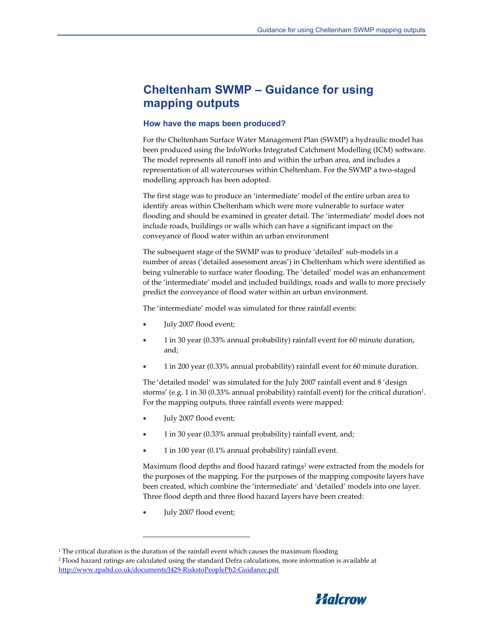## **Cheltenham SWMP – Guidance for using mapping outputs**

#### **How have the maps been produced?**

For the Cheltenham Surface Water Management Plan (SWMP) a hydraulic model has been produced using the InfoWorks Integrated Catchment Modelling (ICM) software. The model represents all runoff into and within the urban area, and includes a representation of all watercourses within Cheltenham. For the SWMP a two-staged modelling approach has been adopted.

The first stage was to produce an 'intermediate' model of the entire urban area to identify areas within Cheltenham which were more vulnerable to surface water flooding and should be examined in greater detail. The 'intermediate' model does not include roads, buildings or walls which can have a significant impact on the conveyance of flood water within an urban environment

The subsequent stage of the SWMP was to produce 'detailed' sub-models in a number of areas ('detailed assessment areas') in Cheltenham which were identified as being vulnerable to surface water flooding. The 'detailed' model was an enhancement of the 'intermediate' model and included buildings, roads and walls to more precisely predict the conveyance of flood water within an urban environment.

The 'intermediate' model was simulated for three rainfall events:

- July 2007 flood event;
- 1 in 30 year (0.33% annual probability) rainfall event for 60 minute duration, and;
- 1 in 200 year (0.33% annual probability) rainfall event for 60 minute duration.

The 'detailed model' was simulated for the July 2007 rainfall event and 8 'design storms' (e.g. 1 in 30 (0.33% annual probability) rainfall event) for the critical duration<sup>1</sup>. For the mapping outputs, three rainfall events were mapped:

- July 2007 flood event;
- 1 in 30 year (0.33% annual probability) rainfall event, and;
- 1 in 100 year (0.1% annual probability) rainfall event.

Maximum flood depths and flood hazard ratings<sup>2</sup> were extracted from the models for the purposes of the mapping. For the purposes of the mapping composite layers have been created, which combine the 'intermediate' and 'detailed' models into one layer. Three flood depth and three flood hazard layers have been created:

• July 2007 flood event;

 $\overline{\phantom{0}}$ 

<sup>2</sup> Flood hazard ratings are calculated using the standard Defra calculations, more information is available at http://www.rpaltd.co.uk/documents/J429-RiskstoPeoplePh2-Guidance.pdf



 $^{\rm 1}$  The critical duration is the duration of the rainfall event which causes the maximum flooding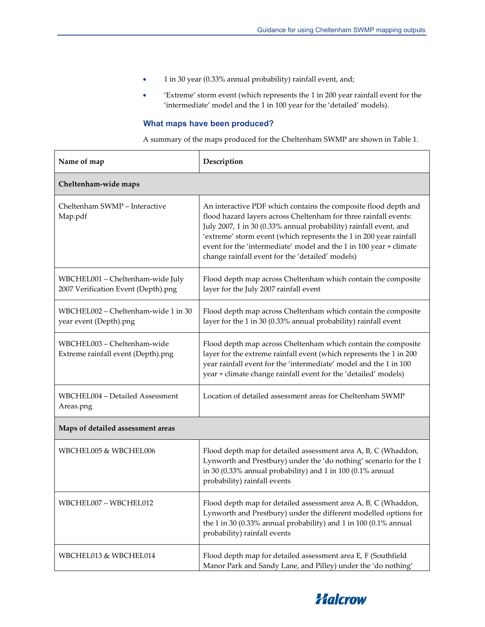- 1 in 30 year (0.33% annual probability) rainfall event, and;
- 'Extreme' storm event (which represents the 1 in 200 year rainfall event for the 'intermediate' model and the 1 in 100 year for the 'detailed' models).

### **What maps have been produced?**

A summary of the maps produced for the Cheltenham SWMP are shown in Table 1.

| Name of map                                                             | Description                                                                                                                                                                                                                                                                                                                                                                                              |
|-------------------------------------------------------------------------|----------------------------------------------------------------------------------------------------------------------------------------------------------------------------------------------------------------------------------------------------------------------------------------------------------------------------------------------------------------------------------------------------------|
| Cheltenham-wide maps                                                    |                                                                                                                                                                                                                                                                                                                                                                                                          |
| Cheltenham SWMP - Interactive<br>Map.pdf                                | An interactive PDF which contains the composite flood depth and<br>flood hazard layers across Cheltenham for three rainfall events:<br>July 2007, 1 in 30 (0.33% annual probability) rainfall event, and<br>'extreme' storm event (which represents the 1 in 200 year rainfall<br>event for the 'intermediate' model and the 1 in 100 year + climate<br>change rainfall event for the 'detailed' models) |
| WBCHEL001 - Cheltenham-wide July<br>2007 Verification Event (Depth).png | Flood depth map across Cheltenham which contain the composite<br>layer for the July 2007 rainfall event                                                                                                                                                                                                                                                                                                  |
| WBCHEL002 - Cheltenham-wide 1 in 30<br>year event (Depth).png           | Flood depth map across Cheltenham which contain the composite<br>layer for the 1 in 30 (0.33% annual probability) rainfall event                                                                                                                                                                                                                                                                         |
| WBCHEL003 - Cheltenham-wide<br>Extreme rainfall event (Depth).png       | Flood depth map across Cheltenham which contain the composite<br>layer for the extreme rainfall event (which represents the 1 in 200<br>year rainfall event for the 'intermediate' model and the 1 in 100<br>year + climate change rainfall event for the 'detailed' models)                                                                                                                             |
| WBCHEL004 - Detailed Assessment<br>Areas.png                            | Location of detailed assessment areas for Cheltenham SWMP                                                                                                                                                                                                                                                                                                                                                |
| Maps of detailed assessment areas                                       |                                                                                                                                                                                                                                                                                                                                                                                                          |
| WBCHEL005 & WBCHEL006                                                   | Flood depth map for detailed assessment area A, B, C (Whaddon,<br>Lynworth and Prestbury) under the 'do nothing' scenario for the 1<br>in 30 (0.33% annual probability) and 1 in 100 (0.1% annual<br>probability) rainfall events                                                                                                                                                                        |
| WBCHEL007 - WBCHEL012                                                   | Flood depth map for detailed assessment area A, B, C (Whaddon,<br>Lynworth and Prestbury) under the different modelled options for<br>the 1 in 30 (0.33% annual probability) and 1 in 100 (0.1% annual<br>probability) rainfall events                                                                                                                                                                   |
| WBCHEL013 & WBCHEL014                                                   | Flood depth map for detailed assessment area E, F (Southfield<br>Manor Park and Sandy Lane, and Pilley) under the 'do nothing'                                                                                                                                                                                                                                                                           |

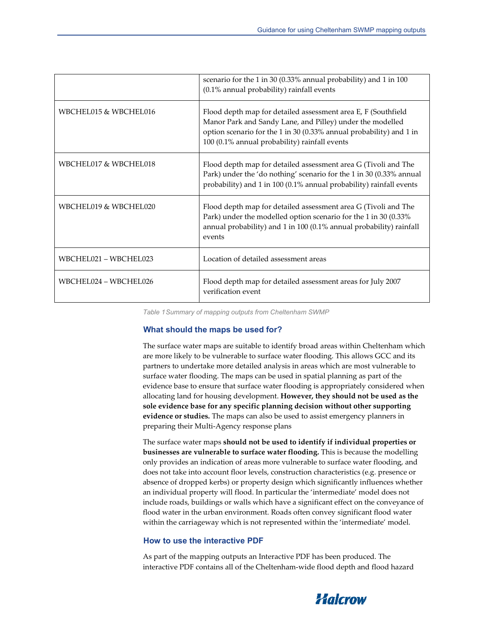|                       | scenario for the 1 in 30 (0.33% annual probability) and 1 in 100<br>(0.1% annual probability) rainfall events                                                                                                                                      |
|-----------------------|----------------------------------------------------------------------------------------------------------------------------------------------------------------------------------------------------------------------------------------------------|
| WBCHEL015 & WBCHEL016 | Flood depth map for detailed assessment area E, F (Southfield<br>Manor Park and Sandy Lane, and Pilley) under the modelled<br>option scenario for the 1 in 30 (0.33% annual probability) and 1 in<br>100 (0.1% annual probability) rainfall events |
| WBCHEL017 & WBCHEL018 | Flood depth map for detailed assessment area G (Tivoli and The<br>Park) under the 'do nothing' scenario for the 1 in 30 (0.33% annual<br>probability) and 1 in 100 (0.1% annual probability) rainfall events                                       |
| WBCHEL019 & WBCHEL020 | Flood depth map for detailed assessment area G (Tivoli and The<br>Park) under the modelled option scenario for the 1 in 30 (0.33%<br>annual probability) and 1 in 100 (0.1% annual probability) rainfall<br>events                                 |
| WBCHEL021 - WBCHEL023 | Location of detailed assessment areas                                                                                                                                                                                                              |
| WBCHEL024 - WBCHEL026 | Flood depth map for detailed assessment areas for July 2007<br>verification event                                                                                                                                                                  |

*Table 1 Summary of mapping outputs from Cheltenham SWMP* 

#### **What should the maps be used for?**

The surface water maps are suitable to identify broad areas within Cheltenham which are more likely to be vulnerable to surface water flooding. This allows GCC and its partners to undertake more detailed analysis in areas which are most vulnerable to surface water flooding. The maps can be used in spatial planning as part of the evidence base to ensure that surface water flooding is appropriately considered when allocating land for housing development. **However, they should not be used as the sole evidence base for any specific planning decision without other supporting evidence or studies.** The maps can also be used to assist emergency planners in preparing their Multi-Agency response plans

The surface water maps **should not be used to identify if individual properties or businesses are vulnerable to surface water flooding.** This is because the modelling only provides an indication of areas more vulnerable to surface water flooding, and does not take into account floor levels, construction characteristics (e.g. presence or absence of dropped kerbs) or property design which significantly influences whether an individual property will flood. In particular the 'intermediate' model does not include roads, buildings or walls which have a significant effect on the conveyance of flood water in the urban environment. Roads often convey significant flood water within the carriageway which is not represented within the 'intermediate' model.

#### **How to use the interactive PDF**

As part of the mapping outputs an Interactive PDF has been produced. The interactive PDF contains all of the Cheltenham-wide flood depth and flood hazard

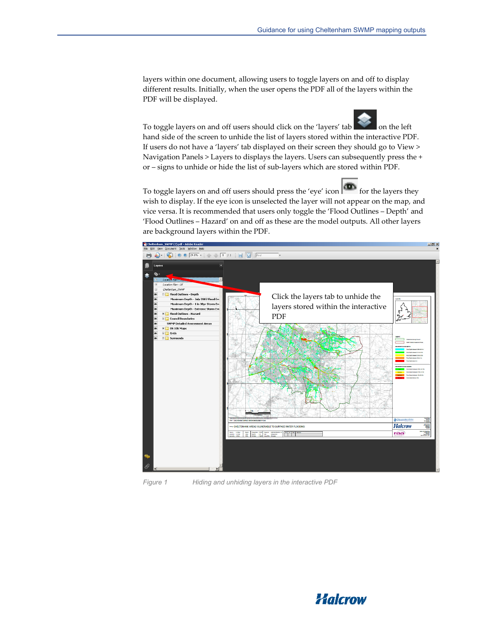layers within one document, allowing users to toggle layers on and off to display different results. Initially, when the user opens the PDF all of the layers within the PDF will be displayed.

To toggle layers on and off users should click on the 'layers' tab on the left hand side of the screen to unhide the list of layers stored within the interactive PDF. If users do not have a 'layers' tab displayed on their screen they should go to View > Navigation Panels > Layers to displays the layers. Users can subsequently press the + or – signs to unhide or hide the list of sub-layers which are stored within PDF.

To toggle layers on and off users should press the 'eye' icon  $\boxed{\bullet\quad}$  for the layers they wish to display. If the eye icon is unselected the layer will not appear on the map, and vice versa. It is recommended that users only toggle the 'Flood Outlines – Depth' and 'Flood Outlines – Hazard' on and off as these are the model outputs. All other layers are background layers within the PDF.





*Figure 1 Hiding and unhiding layers in the interactive PDF* 

# Halcrow